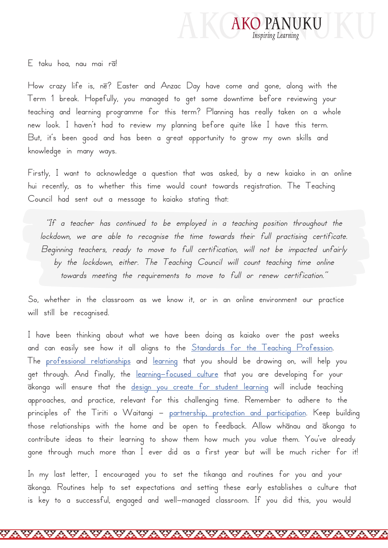

E taku hoa, nau mai rā!

How crazy life is, nē? Easter and Anzac Day have come and gone, along with the Term 1 break. Hopefully, you managed to get some downtime before reviewing your teaching and learning programme for this term? Planning has really taken on a whole new look. I haven't had to review my planning before quite like I have this term. But, it's been good and has been a great opportunity to grow my own skills and knowledge in many ways.

Firstly, I want to acknowledge a question that was asked, by a new kaiako in an online hui recently, as to whether this time would count towards registration. The Teaching Council had sent out a message to kaiako stating that:

"If a teacher has continued to be employed in a teaching position throughout the lockdown, we are able to recognise the time towards their full practising certificate. Beginning teachers, ready to move to full certification, will not be impacted unfairly by the lockdown, either. The Teaching Council will count teaching time online towards meeting the requirements to move to full or renew certification."

So, whether in the classroom as we know it, or in an online environment our practice will still be recognised.

I have been thinking about what we have been doing as kaiako over the past weeks and [can easily see how it a](https://www.akopanuku.tki.org.nz/pumanawa/our-standards/professional-relationships/)ll alig[ns to t](https://www.akopanuku.tki.org.nz/pumanawa/our-standards/professional-learning/)he <u>Standards for the Teaching Profession</u>.<br>The <u>professional relationships</u> and <u>[learning](https://www.akopanuku.tki.org.nz/pumanawa/our-standards/professional-learning/)</u> th[at you should be drawing on, will help](https://teachingcouncil.nz/sites/default/files/Our Standards - in brief %28English%29.pdf) you get through. And finally, the [learning-focused culture](https://www.akopanuku.tki.org.nz/pumanawa/our-standards/learning-focused-culture/) that you are developing for your ākonga will ensure that the [design you create for student learning](https://www.akopanuku.tki.org.nz/pumanawa/our-standards/design-for-learning/) will include teaching approaches, and practice, relevant for this challenging time. Remember to adhere to the principles of the Tiriti o Waitangi – [partnership, protection and participation](https://www.schoolnews.co.nz/2016/11/te-tiriti-o-waitangi-living-the-values/). Keep building those relationships with the home and be open to feedback. Allow whānau and ākonga to contribute ideas to their learning to show them how much you value them. You've already gone through much more than I ever did as a first year but will be much richer for it!

In my last letter, I encouraged you to set the tikanga and routines for you and your ākonga. Routines help to set expectations and setting these early establishes a culture that is key to a successful, engaged and well-managed classroom. If you did this, you would

<del>wayayayayayayayayay</del>a